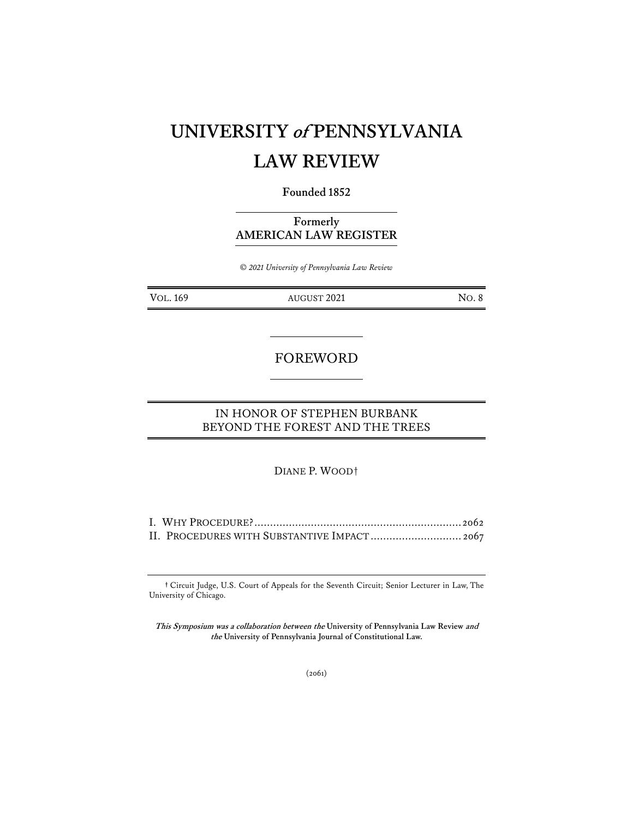# **UNIVERSITY of PENNSYLVANIA LAW REVIEW**

### **Founded 1852**

**Formerly AMERICAN LAW REGISTER**

*© 2021 University of Pennsylvania Law Review*

VOL. 169 AUGUST 2021 NO. 8

## FOREWORD

## IN HONOR OF STEPHEN BURBANK BEYOND THE FOREST AND THE TREES

DIANE P. WOOD†

| II. PROCEDURES WITH SUBSTANTIVE IMPACT 2067 |  |
|---------------------------------------------|--|

**†** Circuit Judge, U.S. Court of Appeals for the Seventh Circuit; Senior Lecturer in Law, The University of Chicago.

**This Symposium was a collaboration between the University of Pennsylvania Law Review and the University of Pennsylvania Journal of Constitutional Law.**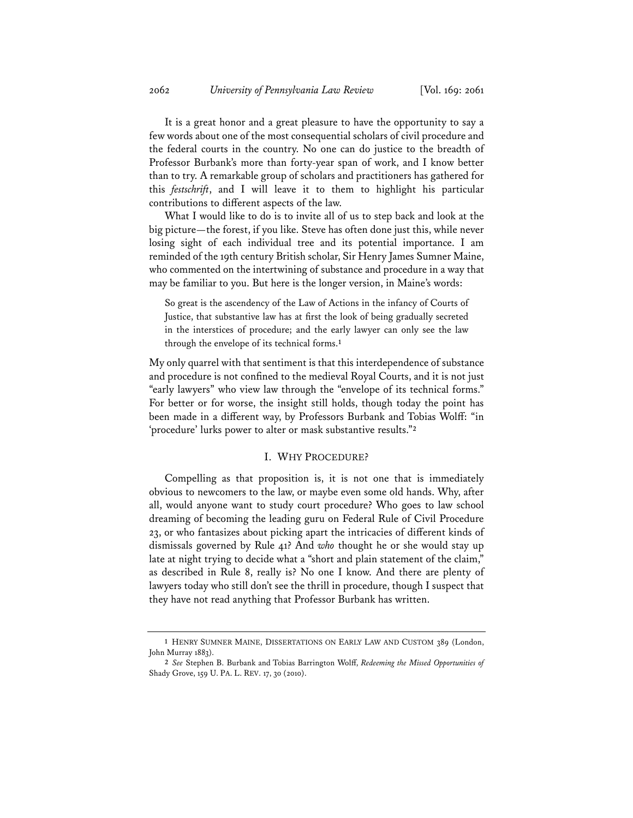It is a great honor and a great pleasure to have the opportunity to say a few words about one of the most consequential scholars of civil procedure and the federal courts in the country. No one can do justice to the breadth of Professor Burbank's more than forty-year span of work, and I know better than to try. A remarkable group of scholars and practitioners has gathered for this *festschrift*, and I will leave it to them to highlight his particular contributions to different aspects of the law.

What I would like to do is to invite all of us to step back and look at the big picture—the forest, if you like. Steve has often done just this, while never losing sight of each individual tree and its potential importance. I am reminded of the 19th century British scholar, Sir Henry James Sumner Maine, who commented on the intertwining of substance and procedure in a way that may be familiar to you. But here is the longer version, in Maine's words:

So great is the ascendency of the Law of Actions in the infancy of Courts of Justice, that substantive law has at first the look of being gradually secreted in the interstices of procedure; and the early lawyer can only see the law through the envelope of its technical forms.**<sup>1</sup>**

My only quarrel with that sentiment is that this interdependence of substance and procedure is not confined to the medieval Royal Courts, and it is not just "early lawyers" who view law through the "envelope of its technical forms." For better or for worse, the insight still holds, though today the point has been made in a different way, by Professors Burbank and Tobias Wolff: "in 'procedure' lurks power to alter or mask substantive results."**<sup>2</sup>**

#### I. WHY PROCEDURE?

Compelling as that proposition is, it is not one that is immediately obvious to newcomers to the law, or maybe even some old hands. Why, after all, would anyone want to study court procedure? Who goes to law school dreaming of becoming the leading guru on Federal Rule of Civil Procedure 23, or who fantasizes about picking apart the intricacies of different kinds of dismissals governed by Rule 41? And *who* thought he or she would stay up late at night trying to decide what a "short and plain statement of the claim," as described in Rule 8, really is? No one I know. And there are plenty of lawyers today who still don't see the thrill in procedure, though I suspect that they have not read anything that Professor Burbank has written.

**<sup>1</sup>** HENRY SUMNER MAINE, DISSERTATIONS ON EARLY LAW AND CUSTOM 389 (London, John Murray 1883).

**<sup>2</sup>** *See* Stephen B. Burbank and Tobias Barrington Wolff, *Redeeming the Missed Opportunities of* Shady Grove, 159 U. PA. L. REV. 17, 30 (2010).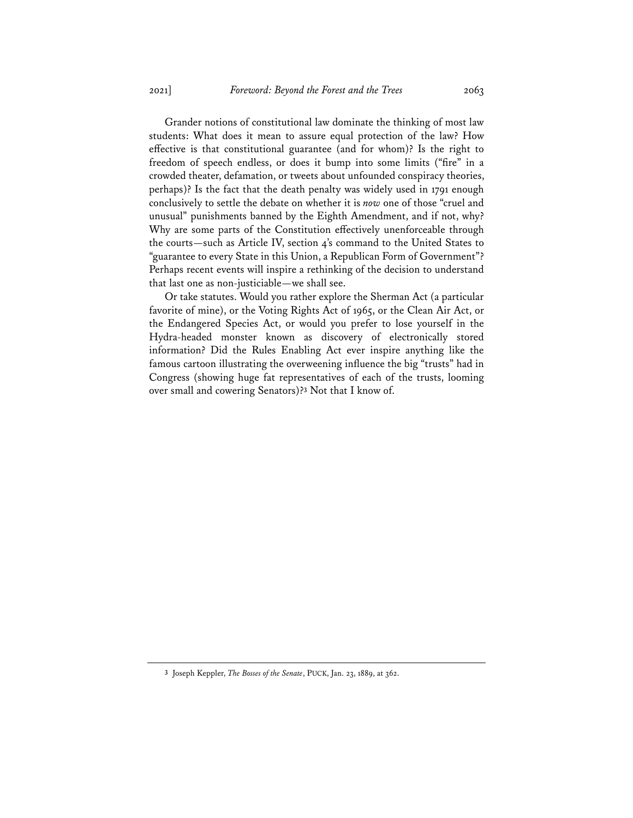Grander notions of constitutional law dominate the thinking of most law students: What does it mean to assure equal protection of the law? How effective is that constitutional guarantee (and for whom)? Is the right to freedom of speech endless, or does it bump into some limits ("fire" in a crowded theater, defamation, or tweets about unfounded conspiracy theories, perhaps)? Is the fact that the death penalty was widely used in 1791 enough conclusively to settle the debate on whether it is *now* one of those "cruel and unusual" punishments banned by the Eighth Amendment, and if not, why? Why are some parts of the Constitution effectively unenforceable through the courts—such as Article IV, section 4's command to the United States to "guarantee to every State in this Union, a Republican Form of Government"? Perhaps recent events will inspire a rethinking of the decision to understand that last one as non-justiciable—we shall see.

Or take statutes. Would you rather explore the Sherman Act (a particular favorite of mine), or the Voting Rights Act of 1965, or the Clean Air Act, or the Endangered Species Act, or would you prefer to lose yourself in the Hydra-headed monster known as discovery of electronically stored information? Did the Rules Enabling Act ever inspire anything like the famous cartoon illustrating the overweening influence the big "trusts" had in Congress (showing huge fat representatives of each of the trusts, looming over small and cowering Senators)?**<sup>3</sup>** Not that I know of.

**<sup>3</sup>** Joseph Keppler, *The Bosses of the Senate*, PUCK, Jan. 23, 1889, at 362.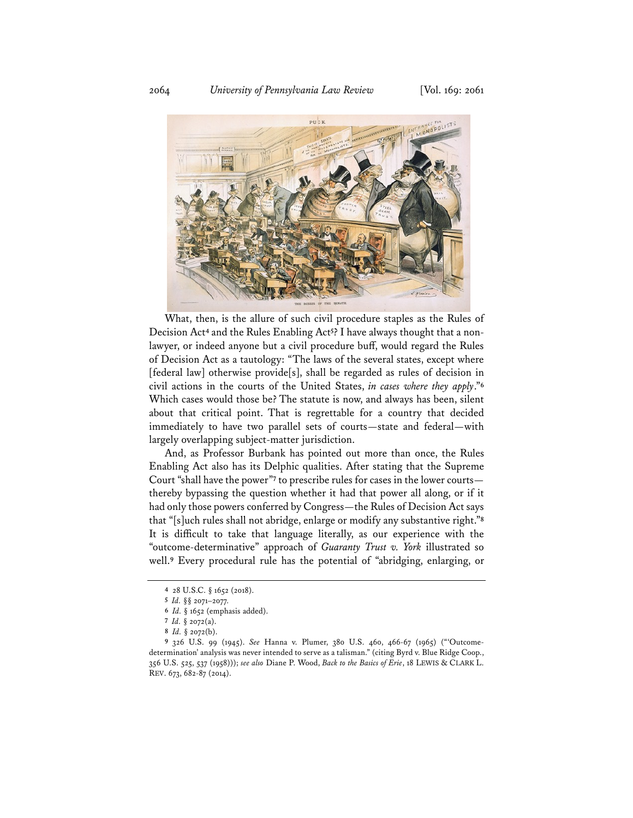

What, then, is the allure of such civil procedure staples as the Rules of Decision Act**<sup>4</sup>** and the Rules Enabling Act**5**? I have always thought that a nonlawyer, or indeed anyone but a civil procedure buff, would regard the Rules of Decision Act as a tautology: "The laws of the several states, except where [federal law] otherwise provide[s], shall be regarded as rules of decision in civil actions in the courts of the United States, *in cases where they apply*."**<sup>6</sup>** Which cases would those be? The statute is now, and always has been, silent about that critical point. That is regrettable for a country that decided immediately to have two parallel sets of courts—state and federal—with largely overlapping subject-matter jurisdiction.

And, as Professor Burbank has pointed out more than once, the Rules Enabling Act also has its Delphic qualities. After stating that the Supreme Court "shall have the power"**<sup>7</sup>** to prescribe rules for cases in the lower courts thereby bypassing the question whether it had that power all along, or if it had only those powers conferred by Congress—the Rules of Decision Act says that "[s]uch rules shall not abridge, enlarge or modify any substantive right."**<sup>8</sup>** It is difficult to take that language literally, as our experience with the "outcome-determinative" approach of *Guaranty Trust v. York* illustrated so well.**<sup>9</sup>** Every procedural rule has the potential of "abridging, enlarging, or

**<sup>4</sup>** 28 U.S.C. § 1652 (2018).

**<sup>5</sup>** *Id.* §§ 2071–2077*.*

**<sup>6</sup>** *Id.* § 1652 (emphasis added).

**<sup>7</sup>** *Id.* § 2072(a).

**<sup>8</sup>** *Id.* § 2072(b).

**<sup>9</sup>** 326 U.S. 99 (1945). *See* Hanna v. Plumer, 380 U.S. 460, 466-67 (1965) ("'Outcomedetermination' analysis was never intended to serve as a talisman." (citing Byrd v. Blue Ridge Coop., 356 U.S. 525, 537 (1958))); *see also* Diane P. Wood, *Back to the Basics of Erie*, 18 LEWIS & CLARK L. REV. 673, 682-87 (2014).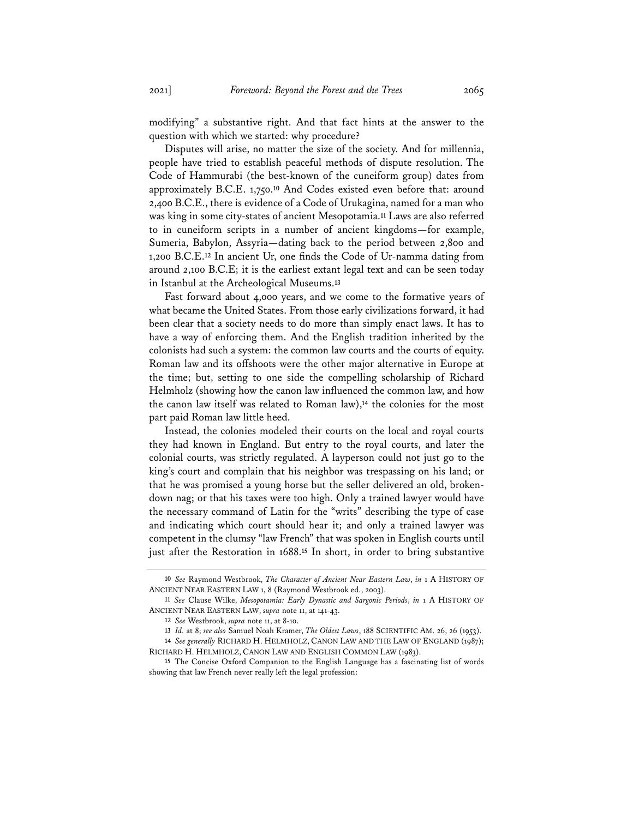modifying" a substantive right. And that fact hints at the answer to the question with which we started: why procedure?

Disputes will arise, no matter the size of the society. And for millennia, people have tried to establish peaceful methods of dispute resolution. The Code of Hammurabi (the best-known of the cuneiform group) dates from approximately B.C.E. 1,750.**<sup>10</sup>** And Codes existed even before that: around 2,400 B.C.E., there is evidence of a Code of Urukagina, named for a man who was king in some city-states of ancient Mesopotamia.**<sup>11</sup>** Laws are also referred to in cuneiform scripts in a number of ancient kingdoms—for example, Sumeria, Babylon, Assyria—dating back to the period between 2,800 and 1,200 B.C.E.**<sup>12</sup>** In ancient Ur, one finds the Code of Ur-namma dating from around 2,100 B.C.E; it is the earliest extant legal text and can be seen today in Istanbul at the Archeological Museums.**<sup>13</sup>**

Fast forward about 4,000 years, and we come to the formative years of what became the United States. From those early civilizations forward, it had been clear that a society needs to do more than simply enact laws. It has to have a way of enforcing them. And the English tradition inherited by the colonists had such a system: the common law courts and the courts of equity. Roman law and its offshoots were the other major alternative in Europe at the time; but, setting to one side the compelling scholarship of Richard Helmholz (showing how the canon law influenced the common law, and how the canon law itself was related to Roman law),**<sup>14</sup>** the colonies for the most part paid Roman law little heed.

Instead, the colonies modeled their courts on the local and royal courts they had known in England. But entry to the royal courts, and later the colonial courts, was strictly regulated. A layperson could not just go to the king's court and complain that his neighbor was trespassing on his land; or that he was promised a young horse but the seller delivered an old, brokendown nag; or that his taxes were too high. Only a trained lawyer would have the necessary command of Latin for the "writs" describing the type of case and indicating which court should hear it; and only a trained lawyer was competent in the clumsy "law French" that was spoken in English courts until just after the Restoration in 1688.**<sup>15</sup>** In short, in order to bring substantive

**<sup>10</sup>** *See* Raymond Westbrook, *The Character of Ancient Near Eastern Law*, *in* 1 A HISTORY OF ANCIENT NEAR EASTERN LAW 1, 8 (Raymond Westbrook ed., 2003).

**<sup>11</sup>** *See* Clause Wilke, *Mesopotamia: Early Dynastic and Sargonic Periods*, *in* 1 A HISTORY OF ANCIENT NEAR EASTERN LAW, *supra* note 11, at 141-43.

**<sup>12</sup>** *See* Westbrook, *supra* note 11, at 8-10.

**<sup>13</sup>** *Id.* at 8; *see also* Samuel Noah Kramer, *The Oldest Laws*, 188 SCIENTIFIC AM. 26, 26 (1953).

**<sup>14</sup>** *See generally* RICHARD H. HELMHOLZ, CANON LAW AND THE LAW OF ENGLAND (1987); RICHARD H. HELMHOLZ, CANON LAW AND ENGLISH COMMON LAW (1983).

**<sup>15</sup>** The Concise Oxford Companion to the English Language has a fascinating list of words showing that law French never really left the legal profession: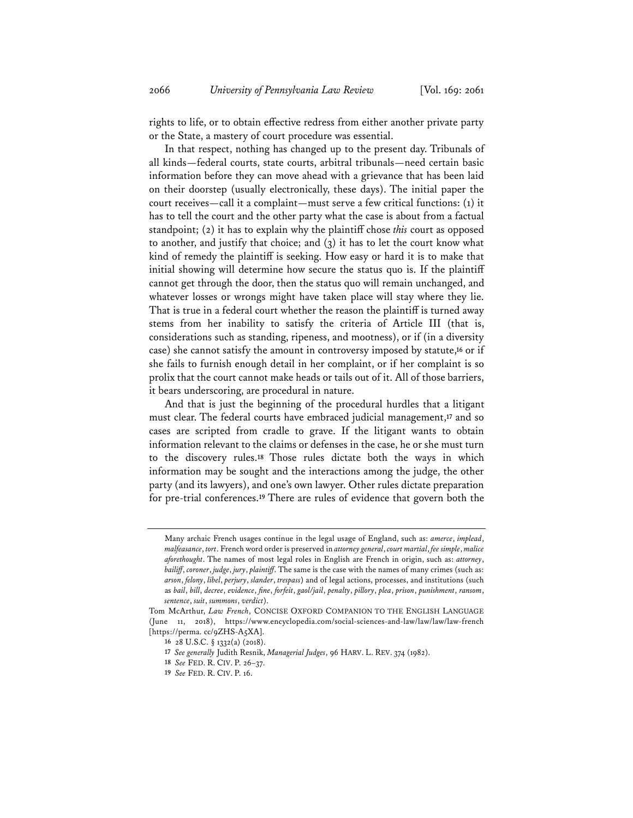rights to life, or to obtain effective redress from either another private party or the State, a mastery of court procedure was essential.

In that respect, nothing has changed up to the present day. Tribunals of all kinds—federal courts, state courts, arbitral tribunals—need certain basic information before they can move ahead with a grievance that has been laid on their doorstep (usually electronically, these days). The initial paper the court receives—call it a complaint—must serve a few critical functions: (1) it has to tell the court and the other party what the case is about from a factual standpoint; (2) it has to explain why the plaintiff chose *this* court as opposed to another, and justify that choice; and (3) it has to let the court know what kind of remedy the plaintiff is seeking. How easy or hard it is to make that initial showing will determine how secure the status quo is. If the plaintiff cannot get through the door, then the status quo will remain unchanged, and whatever losses or wrongs might have taken place will stay where they lie. That is true in a federal court whether the reason the plaintiff is turned away stems from her inability to satisfy the criteria of Article III (that is, considerations such as standing, ripeness, and mootness), or if (in a diversity case) she cannot satisfy the amount in controversy imposed by statute,**<sup>16</sup>** or if she fails to furnish enough detail in her complaint, or if her complaint is so prolix that the court cannot make heads or tails out of it. All of those barriers, it bears underscoring, are procedural in nature.

And that is just the beginning of the procedural hurdles that a litigant must clear. The federal courts have embraced judicial management,**<sup>17</sup>** and so cases are scripted from cradle to grave. If the litigant wants to obtain information relevant to the claims or defenses in the case, he or she must turn to the discovery rules.**<sup>18</sup>** Those rules dictate both the ways in which information may be sought and the interactions among the judge, the other party (and its lawyers), and one's own lawyer. Other rules dictate preparation for pre-trial conferences.**<sup>19</sup>** There are rules of evidence that govern both the

Many archaic French usages continue in the legal usage of England, such as: *amerce*, *implead*, *malfeasance*, *tort*. French word order is preserved in *attorney general*, *court martial*, *fee simple*, *malice aforethought*. The names of most legal roles in English are French in origin, such as: *attorney*, *bailiff*, *coroner*, *judge*, *jury*, *plaintiff*. The same is the case with the names of many crimes (such as: *arson*, *felony*, *libel*, *perjury*, *slander*, *trespass*) and of legal actions, processes, and institutions (such as *bail*, *bill*, *decree*, *evidence*, *fine*, *forfeit*, *gaol/jail*, *penalty*, *pillory*, *plea*, *prison*, *punishment*, *ransom*, *sentence*, *suit*, *summons*, *verdict*).

Tom McArthur, *Law French*, CONCISE OXFORD COMPANION TO THE ENGLISH LANGUAGE (June 11, 2018), https://www.encyclopedia.com/social-sciences-and-law/law/law/law-french [https://perma. cc/9ZHS-A5XA].

**<sup>16</sup>** 28 U.S.C. § 1332(a) (2018).

**<sup>17</sup>** *See generally* Judith Resnik, *Managerial Judges*, 96 HARV. L. REV. 374 (1982).

**<sup>18</sup>** *See* FED. R. CIV. P. 26–37.

**<sup>19</sup>** *See* FED. R. CIV. P. 16.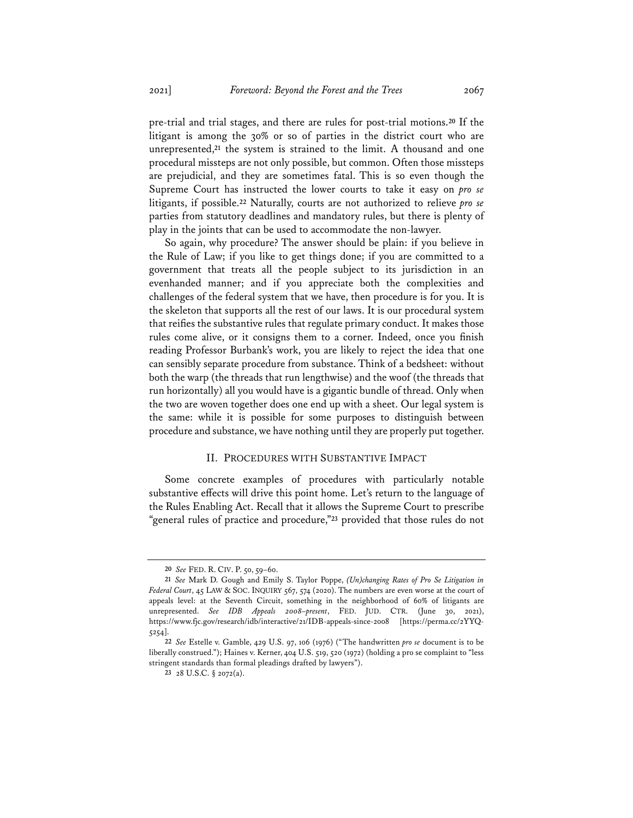pre-trial and trial stages, and there are rules for post-trial motions.**<sup>20</sup>** If the litigant is among the 30% or so of parties in the district court who are unrepresented,**<sup>21</sup>** the system is strained to the limit. A thousand and one procedural missteps are not only possible, but common. Often those missteps are prejudicial, and they are sometimes fatal. This is so even though the Supreme Court has instructed the lower courts to take it easy on *pro se* litigants, if possible.**<sup>22</sup>** Naturally, courts are not authorized to relieve *pro se*  parties from statutory deadlines and mandatory rules, but there is plenty of play in the joints that can be used to accommodate the non-lawyer.

So again, why procedure? The answer should be plain: if you believe in the Rule of Law; if you like to get things done; if you are committed to a government that treats all the people subject to its jurisdiction in an evenhanded manner; and if you appreciate both the complexities and challenges of the federal system that we have, then procedure is for you. It is the skeleton that supports all the rest of our laws. It is our procedural system that reifies the substantive rules that regulate primary conduct. It makes those rules come alive, or it consigns them to a corner. Indeed, once you finish reading Professor Burbank's work, you are likely to reject the idea that one can sensibly separate procedure from substance. Think of a bedsheet: without both the warp (the threads that run lengthwise) and the woof (the threads that run horizontally) all you would have is a gigantic bundle of thread. Only when the two are woven together does one end up with a sheet. Our legal system is the same: while it is possible for some purposes to distinguish between procedure and substance, we have nothing until they are properly put together.

#### II. PROCEDURES WITH SUBSTANTIVE IMPACT

Some concrete examples of procedures with particularly notable substantive effects will drive this point home. Let's return to the language of the Rules Enabling Act. Recall that it allows the Supreme Court to prescribe "general rules of practice and procedure,"**<sup>23</sup>** provided that those rules do not

**<sup>20</sup>** *See* FED. R. CIV. P. 50, 59–60.

**<sup>21</sup>** *See* Mark D. Gough and Emily S. Taylor Poppe, *(Un)changing Rates of Pro Se Litigation in Federal Court*, 45 LAW & SOC. INQUIRY 567, 574 (2020). The numbers are even worse at the court of appeals level: at the Seventh Circuit, something in the neighborhood of 60% of litigants are unrepresented. *See IDB Appeals 2008–present*, FED. JUD. CTR. (June 30, 2021), https://www.fjc.gov/research/idb/interactive/21/IDB-appeals-since-2008 [https://perma.cc/2YYQ-5254].

**<sup>22</sup>** *See* Estelle v. Gamble, 429 U.S. 97, 106 (1976) ("The handwritten *pro se* document is to be liberally construed."); Haines v. Kerner, 404 U.S. 519, 520 (1972) (holding a pro se complaint to "less stringent standards than formal pleadings drafted by lawyers").

**<sup>23</sup>** 28 U.S.C. § 2072(a).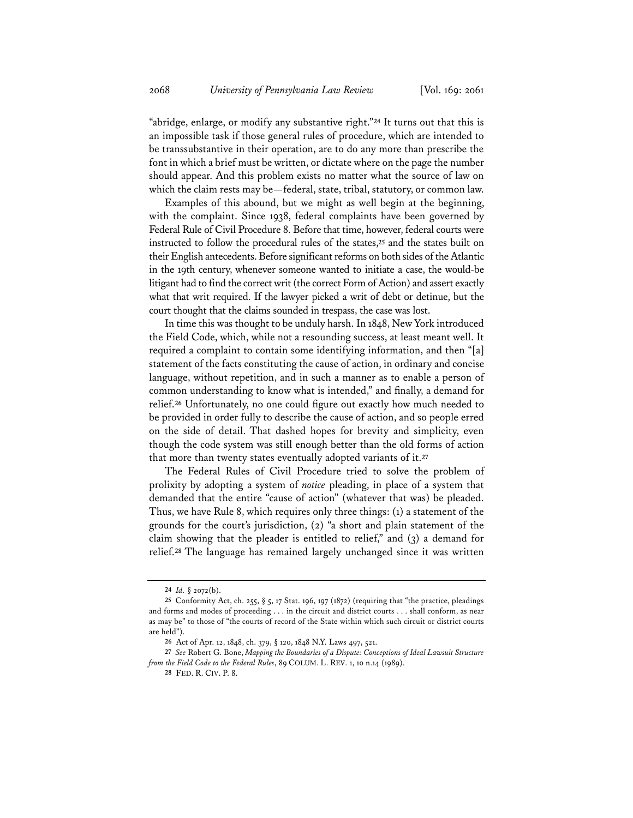"abridge, enlarge, or modify any substantive right."**<sup>24</sup>** It turns out that this is an impossible task if those general rules of procedure, which are intended to be transsubstantive in their operation, are to do any more than prescribe the font in which a brief must be written, or dictate where on the page the number should appear. And this problem exists no matter what the source of law on which the claim rests may be—federal, state, tribal, statutory, or common law.

Examples of this abound, but we might as well begin at the beginning, with the complaint. Since 1938, federal complaints have been governed by Federal Rule of Civil Procedure 8. Before that time, however, federal courts were instructed to follow the procedural rules of the states,**<sup>25</sup>** and the states built on their English antecedents. Before significant reforms on both sides of the Atlantic in the 19th century, whenever someone wanted to initiate a case, the would-be litigant had to find the correct writ (the correct Form of Action) and assert exactly what that writ required. If the lawyer picked a writ of debt or detinue, but the court thought that the claims sounded in trespass, the case was lost.

In time this was thought to be unduly harsh. In 1848, New York introduced the Field Code, which, while not a resounding success, at least meant well. It required a complaint to contain some identifying information, and then "[a] statement of the facts constituting the cause of action, in ordinary and concise language, without repetition, and in such a manner as to enable a person of common understanding to know what is intended," and finally, a demand for relief.**<sup>26</sup>** Unfortunately, no one could figure out exactly how much needed to be provided in order fully to describe the cause of action, and so people erred on the side of detail. That dashed hopes for brevity and simplicity, even though the code system was still enough better than the old forms of action that more than twenty states eventually adopted variants of it.**<sup>27</sup>**

The Federal Rules of Civil Procedure tried to solve the problem of prolixity by adopting a system of *notice* pleading, in place of a system that demanded that the entire "cause of action" (whatever that was) be pleaded. Thus, we have Rule 8, which requires only three things: (1) a statement of the grounds for the court's jurisdiction, (2) "a short and plain statement of the claim showing that the pleader is entitled to relief," and (3) a demand for relief.**<sup>28</sup>** The language has remained largely unchanged since it was written

**<sup>24</sup>** *Id.* § 2072(b).

**<sup>25</sup>** Conformity Act, ch. 255, § 5, 17 Stat. 196, 197 (1872) (requiring that "the practice, pleadings and forms and modes of proceeding . . . in the circuit and district courts . . . shall conform, as near as may be" to those of "the courts of record of the State within which such circuit or district courts are held").

**<sup>26</sup>** Act of Apr. 12, 1848, ch. 379, § 120, 1848 N.Y. Laws 497, 521.

**<sup>27</sup>** *See* Robert G. Bone, *Mapping the Boundaries of a Dispute: Conceptions of Ideal Lawsuit Structure from the Field Code to the Federal Rules*, 89 COLUM. L. REV. 1, 10 n.14 (1989).

**<sup>28</sup>** FED. R. CIV. P. 8.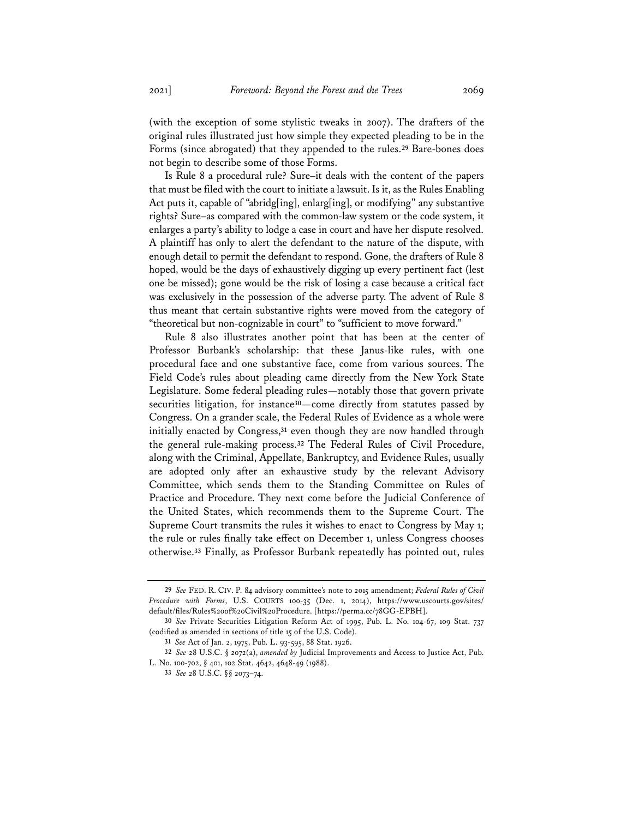(with the exception of some stylistic tweaks in 2007). The drafters of the original rules illustrated just how simple they expected pleading to be in the Forms (since abrogated) that they appended to the rules.**<sup>29</sup>** Bare-bones does not begin to describe some of those Forms.

Is Rule 8 a procedural rule? Sure–it deals with the content of the papers that must be filed with the court to initiate a lawsuit. Is it, as the Rules Enabling Act puts it, capable of "abridg[ing], enlarg[ing], or modifying" any substantive rights? Sure–as compared with the common-law system or the code system, it enlarges a party's ability to lodge a case in court and have her dispute resolved. A plaintiff has only to alert the defendant to the nature of the dispute, with enough detail to permit the defendant to respond. Gone, the drafters of Rule 8 hoped, would be the days of exhaustively digging up every pertinent fact (lest one be missed); gone would be the risk of losing a case because a critical fact was exclusively in the possession of the adverse party. The advent of Rule 8 thus meant that certain substantive rights were moved from the category of "theoretical but non-cognizable in court" to "sufficient to move forward."

Rule 8 also illustrates another point that has been at the center of Professor Burbank's scholarship: that these Janus-like rules, with one procedural face and one substantive face, come from various sources. The Field Code's rules about pleading came directly from the New York State Legislature. Some federal pleading rules—notably those that govern private securities litigation, for instance**30**—come directly from statutes passed by Congress. On a grander scale, the Federal Rules of Evidence as a whole were initially enacted by Congress,**<sup>31</sup>** even though they are now handled through the general rule-making process.**<sup>32</sup>** The Federal Rules of Civil Procedure, along with the Criminal, Appellate, Bankruptcy, and Evidence Rules, usually are adopted only after an exhaustive study by the relevant Advisory Committee, which sends them to the Standing Committee on Rules of Practice and Procedure. They next come before the Judicial Conference of the United States, which recommends them to the Supreme Court. The Supreme Court transmits the rules it wishes to enact to Congress by May 1; the rule or rules finally take effect on December 1, unless Congress chooses otherwise.**<sup>33</sup>** Finally, as Professor Burbank repeatedly has pointed out, rules

**<sup>29</sup>** *See* FED. R. CIV. P. 84 advisory committee's note to 2015 amendment; *Federal Rules of Civil Procedure with Forms*, U.S. COURTS 100-35 (Dec. 1, 2014), https://www.uscourts.gov/sites/ default/files/Rules%20of%20Civil%20Procedure. [https://perma.cc/78GG-EPBH].

**<sup>30</sup>** *See* Private Securities Litigation Reform Act of 1995, Pub. L. No. 104-67, 109 Stat. 737 (codified as amended in sections of title 15 of the U.S. Code).

**<sup>31</sup>** *See* Act of Jan. 2, 1975, Pub. L. 93-595, 88 Stat. 1926.

**<sup>32</sup>** *See* 28 U.S.C. § 2072(a), *amended by* Judicial Improvements and Access to Justice Act, Pub. L. No. 100-702, § 401, 102 Stat. 4642, 4648-49 (1988).

**<sup>33</sup>** *See* 28 U.S.C. §§ 2073–74.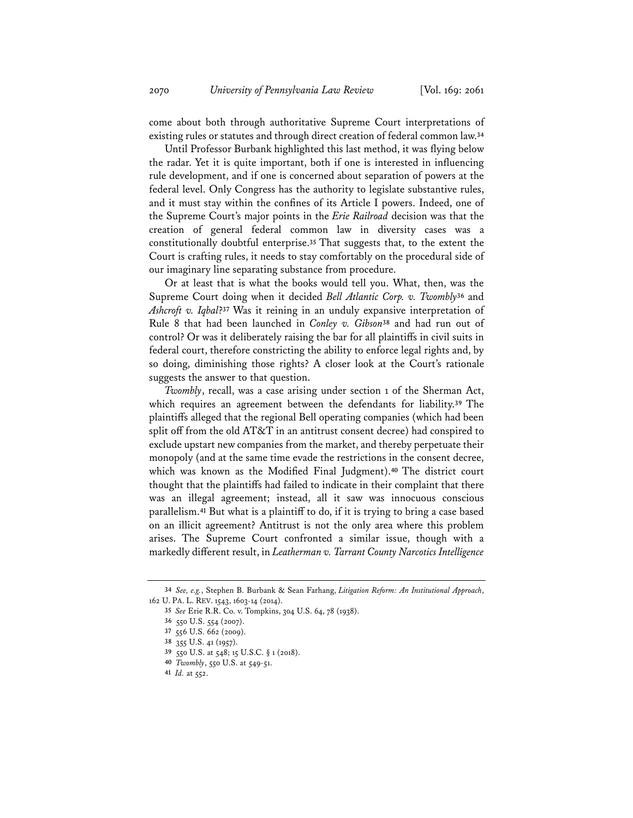come about both through authoritative Supreme Court interpretations of existing rules or statutes and through direct creation of federal common law.**<sup>34</sup>**

Until Professor Burbank highlighted this last method, it was flying below the radar. Yet it is quite important, both if one is interested in influencing rule development, and if one is concerned about separation of powers at the federal level. Only Congress has the authority to legislate substantive rules, and it must stay within the confines of its Article I powers. Indeed, one of the Supreme Court's major points in the *Erie Railroad* decision was that the creation of general federal common law in diversity cases was a constitutionally doubtful enterprise.**<sup>35</sup>** That suggests that, to the extent the Court is crafting rules, it needs to stay comfortably on the procedural side of our imaginary line separating substance from procedure.

Or at least that is what the books would tell you. What, then, was the Supreme Court doing when it decided *Bell Atlantic Corp. v. Twombly***<sup>36</sup>** and *Ashcroft v. Iqbal*?**<sup>37</sup>** Was it reining in an unduly expansive interpretation of Rule 8 that had been launched in *Conley v. Gibson***<sup>38</sup>** and had run out of control? Or was it deliberately raising the bar for all plaintiffs in civil suits in federal court, therefore constricting the ability to enforce legal rights and, by so doing, diminishing those rights? A closer look at the Court's rationale suggests the answer to that question.

*Twombly*, recall, was a case arising under section 1 of the Sherman Act, which requires an agreement between the defendants for liability.**<sup>39</sup>** The plaintiffs alleged that the regional Bell operating companies (which had been split off from the old AT&T in an antitrust consent decree) had conspired to exclude upstart new companies from the market, and thereby perpetuate their monopoly (and at the same time evade the restrictions in the consent decree, which was known as the Modified Final Judgment).**<sup>40</sup>** The district court thought that the plaintiffs had failed to indicate in their complaint that there was an illegal agreement; instead, all it saw was innocuous conscious parallelism.**<sup>41</sup>** But what is a plaintiff to do, if it is trying to bring a case based on an illicit agreement? Antitrust is not the only area where this problem arises. The Supreme Court confronted a similar issue, though with a markedly different result, in *Leatherman v. Tarrant County Narcotics Intelligence* 

**<sup>34</sup>** *See, e.g.*, Stephen B. Burbank & Sean Farhang, *Litigation Reform: An Institutional Approach*, 162 U. PA. L. REV. 1543, 1603-14 (2014).

**<sup>35</sup>** *See* Erie R.R. Co. v. Tompkins, 304 U.S. 64, 78 (1938).

**<sup>36</sup>** 550 U.S. 554 (2007).

**<sup>37</sup>** 556 U.S. 662 (2009).

**<sup>38</sup>** 355 U.S. 41 (1957).

**<sup>39</sup>** 550 U.S. at 548; 15 U.S.C. § 1 (2018).

**<sup>40</sup>** *Twombly*, 550 U.S. at 549-51.

**<sup>41</sup>** *Id.* at 552.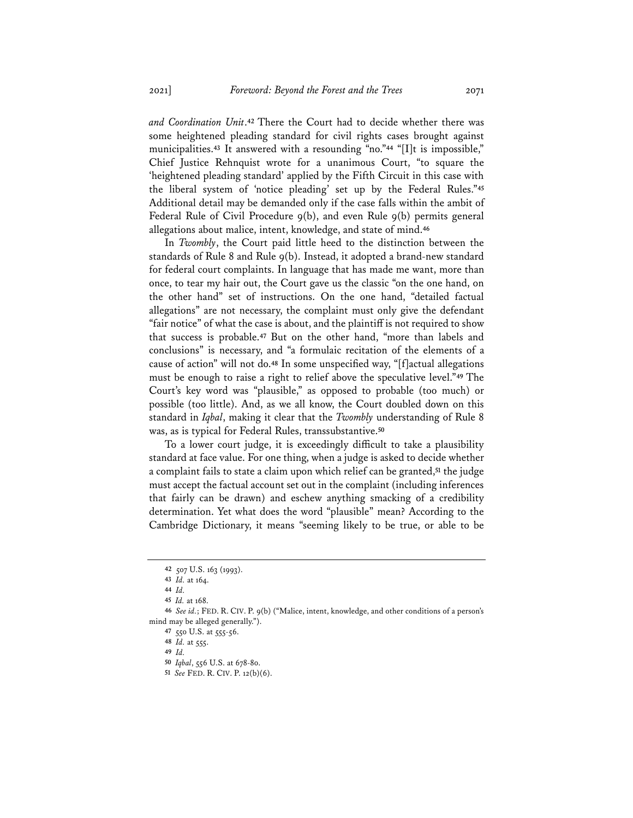*and Coordination Unit*.**<sup>42</sup>** There the Court had to decide whether there was some heightened pleading standard for civil rights cases brought against municipalities.**<sup>43</sup>** It answered with a resounding "no."**<sup>44</sup>** "[I]t is impossible," Chief Justice Rehnquist wrote for a unanimous Court, "to square the 'heightened pleading standard' applied by the Fifth Circuit in this case with the liberal system of 'notice pleading' set up by the Federal Rules."**<sup>45</sup>** Additional detail may be demanded only if the case falls within the ambit of Federal Rule of Civil Procedure 9(b), and even Rule 9(b) permits general allegations about malice, intent, knowledge, and state of mind.**<sup>46</sup>**

In *Twombly*, the Court paid little heed to the distinction between the standards of Rule 8 and Rule 9(b). Instead, it adopted a brand-new standard for federal court complaints. In language that has made me want, more than once, to tear my hair out, the Court gave us the classic "on the one hand, on the other hand" set of instructions. On the one hand, "detailed factual allegations" are not necessary, the complaint must only give the defendant "fair notice" of what the case is about, and the plaintiff is not required to show that success is probable.**<sup>47</sup>** But on the other hand, "more than labels and conclusions" is necessary, and "a formulaic recitation of the elements of a cause of action" will not do.**<sup>48</sup>** In some unspecified way, "[f]actual allegations must be enough to raise a right to relief above the speculative level."**<sup>49</sup>** The Court's key word was "plausible," as opposed to probable (too much) or possible (too little). And, as we all know, the Court doubled down on this standard in *Iqbal*, making it clear that the *Twombly* understanding of Rule 8 was, as is typical for Federal Rules, transsubstantive.**<sup>50</sup>**

To a lower court judge, it is exceedingly difficult to take a plausibility standard at face value. For one thing, when a judge is asked to decide whether a complaint fails to state a claim upon which relief can be granted,**<sup>51</sup>** the judge must accept the factual account set out in the complaint (including inferences that fairly can be drawn) and eschew anything smacking of a credibility determination. Yet what does the word "plausible" mean? According to the Cambridge Dictionary, it means "seeming likely to be true, or able to be

**<sup>42</sup>** 507 U.S. 163 (1993).

**<sup>43</sup>** *Id.* at 164.

**<sup>44</sup>** *Id.*

**<sup>45</sup>** *Id.* at 168.

**<sup>46</sup>** *See id.*; FED. R. CIV. P. 9(b) ("Malice, intent, knowledge, and other conditions of a person's mind may be alleged generally.").

**<sup>47</sup>** 550 U.S. at 555-56.

**<sup>48</sup>** *Id.* at 555.

**<sup>49</sup>** *Id.*

**<sup>50</sup>** *Iqbal*, 556 U.S. at 678-80.

**<sup>51</sup>** *See* FED. R. CIV. P. 12(b)(6).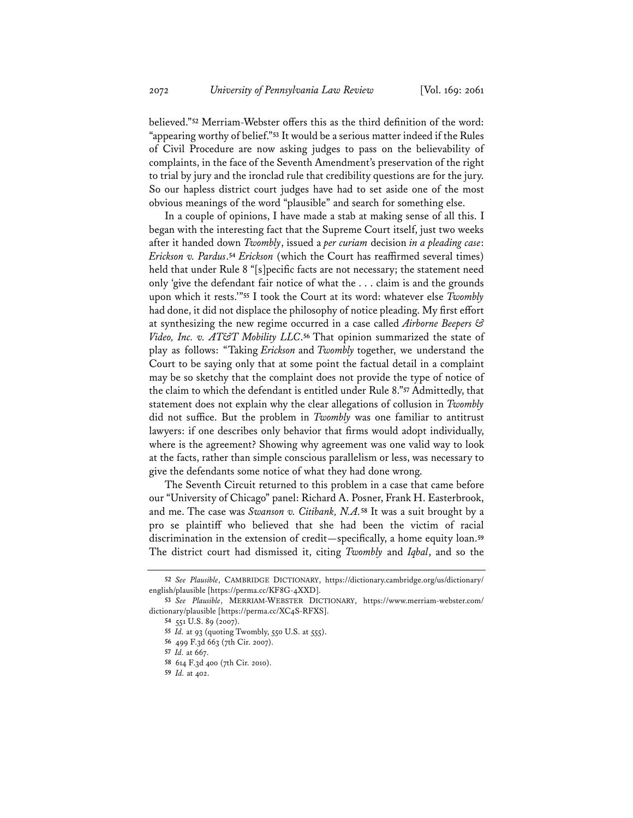believed."**<sup>52</sup>** Merriam-Webster offers this as the third definition of the word: "appearing worthy of belief."**<sup>53</sup>** It would be a serious matter indeed if the Rules of Civil Procedure are now asking judges to pass on the believability of complaints, in the face of the Seventh Amendment's preservation of the right to trial by jury and the ironclad rule that credibility questions are for the jury. So our hapless district court judges have had to set aside one of the most obvious meanings of the word "plausible" and search for something else.

In a couple of opinions, I have made a stab at making sense of all this. I began with the interesting fact that the Supreme Court itself, just two weeks after it handed down *Twombly*, issued a *per curiam* decision *in a pleading case*: *Erickson v. Pardus*.**<sup>54</sup>** *Erickson* (which the Court has reaffirmed several times) held that under Rule 8 "[s]pecific facts are not necessary; the statement need only 'give the defendant fair notice of what the . . . claim is and the grounds upon which it rests.'"**<sup>55</sup>** I took the Court at its word: whatever else *Twombly* had done, it did not displace the philosophy of notice pleading. My first effort at synthesizing the new regime occurred in a case called *Airborne Beepers & Video, Inc. v. AT&T Mobility LLC*.**<sup>56</sup>** That opinion summarized the state of play as follows: "Taking *Erickson* and *Twombly* together, we understand the Court to be saying only that at some point the factual detail in a complaint may be so sketchy that the complaint does not provide the type of notice of the claim to which the defendant is entitled under Rule 8."**<sup>57</sup>** Admittedly, that statement does not explain why the clear allegations of collusion in *Twombly* did not suffice. But the problem in *Twombly* was one familiar to antitrust lawyers: if one describes only behavior that firms would adopt individually, where is the agreement? Showing why agreement was one valid way to look at the facts, rather than simple conscious parallelism or less, was necessary to give the defendants some notice of what they had done wrong.

The Seventh Circuit returned to this problem in a case that came before our "University of Chicago" panel: Richard A. Posner, Frank H. Easterbrook, and me. The case was *Swanson v. Citibank, N.A.***<sup>58</sup>** It was a suit brought by a pro se plaintiff who believed that she had been the victim of racial discrimination in the extension of credit—specifically, a home equity loan.**<sup>59</sup>** The district court had dismissed it, citing *Twombly* and *Iqbal*, and so the

**<sup>52</sup>** *See Plausible*, CAMBRIDGE DICTIONARY, https://dictionary.cambridge.org/us/dictionary/ english/plausible [https://perma.cc/KF8G-4XXD].

**<sup>53</sup>** *See Plausible*, MERRIAM-WEBSTER DICTIONARY, https://www.merriam-webster.com/ dictionary/plausible [https://perma.cc/XC4S-RFXS].

**<sup>54</sup>** 551 U.S. 89 (2007).

**<sup>55</sup>** *Id.* at 93 (quoting Twombly, 550 U.S. at 555).

**<sup>56</sup>** 499 F.3d 663 (7th Cir. 2007).

**<sup>57</sup>** *Id.* at 667.

**<sup>58</sup>** 614 F.3d 400 (7th Cir. 2010).

**<sup>59</sup>** *Id.* at 402.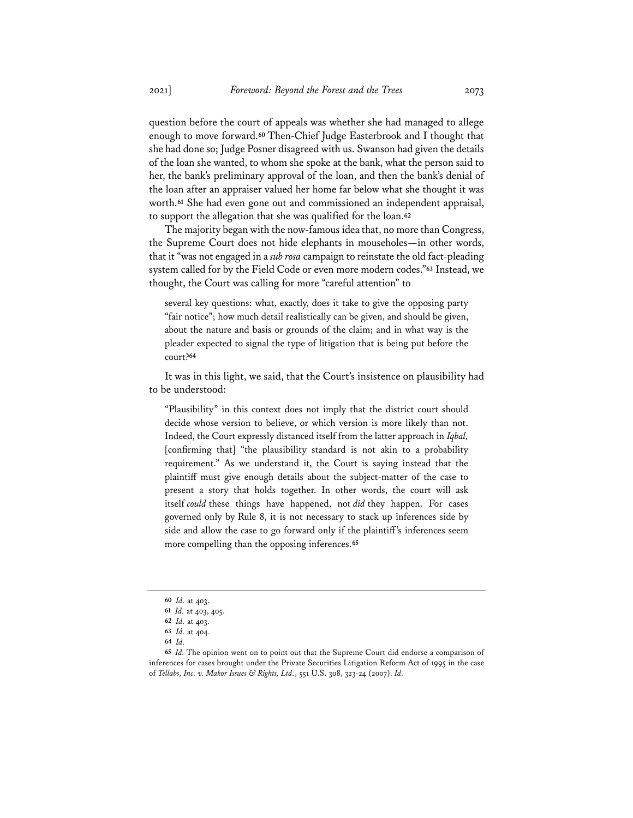question before the court of appeals was whether she had managed to allege enough to move forward.**<sup>60</sup>** Then-Chief Judge Easterbrook and I thought that she had done so; Judge Posner disagreed with us. Swanson had given the details of the loan she wanted, to whom she spoke at the bank, what the person said to her, the bank's preliminary approval of the loan, and then the bank's denial of the loan after an appraiser valued her home far below what she thought it was worth.**<sup>61</sup>** She had even gone out and commissioned an independent appraisal, to support the allegation that she was qualified for the loan.**<sup>62</sup>**

The majority began with the now-famous idea that, no more than Congress, the Supreme Court does not hide elephants in mouseholes—in other words, that it "was not engaged in a *sub rosa* campaign to reinstate the old fact-pleading system called for by the Field Code or even more modern codes."**<sup>63</sup>** Instead, we thought, the Court was calling for more "careful attention" to

several key questions: what, exactly, does it take to give the opposing party "fair notice"; how much detail realistically can be given, and should be given, about the nature and basis or grounds of the claim; and in what way is the pleader expected to signal the type of litigation that is being put before the court?**<sup>64</sup>**

It was in this light, we said, that the Court's insistence on plausibility had to be understood:

"Plausibility" in this context does not imply that the district court should decide whose version to believe, or which version is more likely than not. Indeed, the Court expressly distanced itself from the latter approach in *Iqbal,*  [confirming that] "the plausibility standard is not akin to a probability requirement." As we understand it, the Court is saying instead that the plaintiff must give enough details about the subject-matter of the case to present a story that holds together. In other words, the court will ask itself *could* these things have happened, not *did* they happen. For cases governed only by Rule 8, it is not necessary to stack up inferences side by side and allow the case to go forward only if the plaintiff's inferences seem more compelling than the opposing inferences.**<sup>65</sup>**

**<sup>60</sup>** *Id.* at 403.

**<sup>61</sup>** *Id.* at 403, 405.

**<sup>62</sup>** *Id.* at 403.

**<sup>63</sup>** *Id.* at 404.

**<sup>64</sup>** *Id.*

**<sup>65</sup>** *Id.* The opinion went on to point out that the Supreme Court did endorse a comparison of inferences for cases brought under the Private Securities Litigation Reform Act of 1995 in the case of *Tellabs, Inc. v. Makor Issues & Rights, Ltd.*, 551 U.S. 308, 323-24 (2007). *Id.*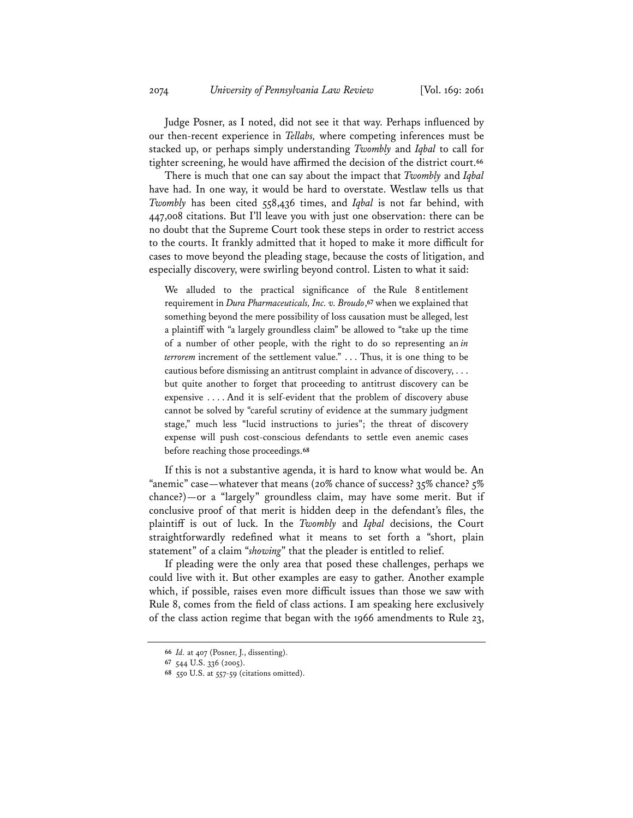Judge Posner, as I noted, did not see it that way. Perhaps influenced by our then-recent experience in *Tellabs,* where competing inferences must be stacked up, or perhaps simply understanding *Twombly* and *Iqbal* to call for tighter screening, he would have affirmed the decision of the district court.**<sup>66</sup>**

There is much that one can say about the impact that *Twombly* and *Iqbal* have had. In one way, it would be hard to overstate. Westlaw tells us that *Twombly* has been cited 558,436 times, and *Iqbal* is not far behind, with 447,008 citations. But I'll leave you with just one observation: there can be no doubt that the Supreme Court took these steps in order to restrict access to the courts. It frankly admitted that it hoped to make it more difficult for cases to move beyond the pleading stage, because the costs of litigation, and especially discovery, were swirling beyond control. Listen to what it said:

We alluded to the practical significance of the Rule 8 entitlement requirement in *Dura Pharmaceuticals, Inc. v. Broudo*,**<sup>67</sup>** when we explained that something beyond the mere possibility of loss causation must be alleged, lest a plaintiff with "a largely groundless claim" be allowed to "take up the time of a number of other people, with the right to do so representing an *in terrorem* increment of the settlement value." . . . Thus, it is one thing to be cautious before dismissing an antitrust complaint in advance of discovery, . . . but quite another to forget that proceeding to antitrust discovery can be expensive . . . . And it is self-evident that the problem of discovery abuse cannot be solved by "careful scrutiny of evidence at the summary judgment stage," much less "lucid instructions to juries"; the threat of discovery expense will push cost-conscious defendants to settle even anemic cases before reaching those proceedings.**<sup>68</sup>**

If this is not a substantive agenda, it is hard to know what would be. An "anemic" case—whatever that means (20% chance of success? 35% chance? 5% chance?)—or a "largely" groundless claim, may have some merit. But if conclusive proof of that merit is hidden deep in the defendant's files, the plaintiff is out of luck. In the *Twombly* and *Iqbal* decisions, the Court straightforwardly redefined what it means to set forth a "short, plain statement" of a claim "*showing*" that the pleader is entitled to relief.

If pleading were the only area that posed these challenges, perhaps we could live with it. But other examples are easy to gather. Another example which, if possible, raises even more difficult issues than those we saw with Rule 8, comes from the field of class actions. I am speaking here exclusively of the class action regime that began with the 1966 amendments to Rule 23,

**<sup>66</sup>** *Id.* at 407 (Posner, J., dissenting).

**<sup>67</sup>** 544 U.S. 336 (2005).

**<sup>68</sup>** 550 U.S. at 557-59 (citations omitted).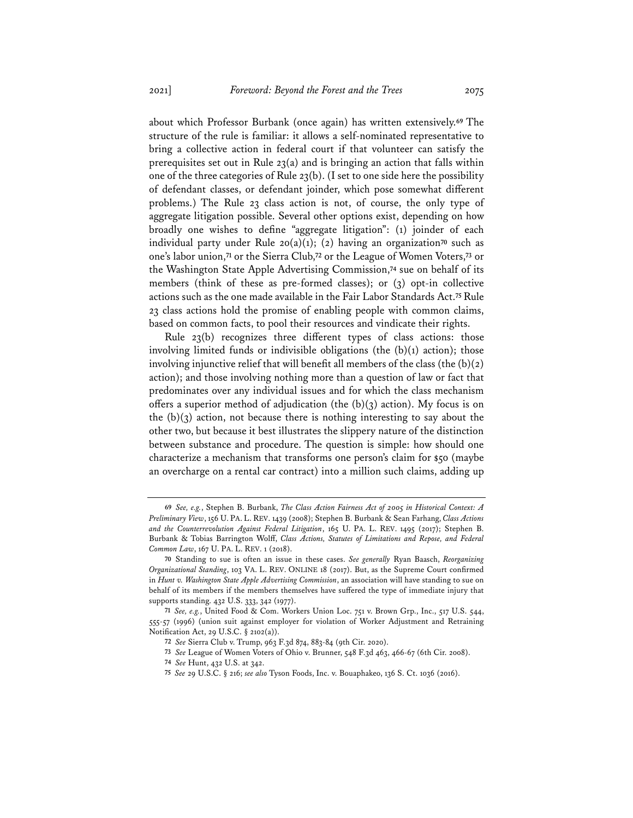about which Professor Burbank (once again) has written extensively.**<sup>69</sup>** The structure of the rule is familiar: it allows a self-nominated representative to bring a collective action in federal court if that volunteer can satisfy the prerequisites set out in Rule 23(a) and is bringing an action that falls within one of the three categories of Rule 23(b). (I set to one side here the possibility of defendant classes, or defendant joinder, which pose somewhat different problems.) The Rule 23 class action is not, of course, the only type of aggregate litigation possible. Several other options exist, depending on how broadly one wishes to define "aggregate litigation": (1) joinder of each individual party under Rule 20(a)(1); (2) having an organization**<sup>70</sup>** such as one's labor union,**<sup>71</sup>** or the Sierra Club,**<sup>72</sup>** or the League of Women Voters,**<sup>73</sup>** or the Washington State Apple Advertising Commission,**<sup>74</sup>** sue on behalf of its members (think of these as pre-formed classes); or (3) opt-in collective actions such as the one made available in the Fair Labor Standards Act.**<sup>75</sup>** Rule 23 class actions hold the promise of enabling people with common claims, based on common facts, to pool their resources and vindicate their rights.

Rule 23(b) recognizes three different types of class actions: those involving limited funds or indivisible obligations (the  $(b)(1)$  action); those involving injunctive relief that will benefit all members of the class (the  $(b)(2)$ ) action); and those involving nothing more than a question of law or fact that predominates over any individual issues and for which the class mechanism offers a superior method of adjudication (the  $(b)(3)$  action). My focus is on the  $(b)(3)$  action, not because there is nothing interesting to say about the other two, but because it best illustrates the slippery nature of the distinction between substance and procedure. The question is simple: how should one characterize a mechanism that transforms one person's claim for \$50 (maybe an overcharge on a rental car contract) into a million such claims, adding up

**<sup>69</sup>** *See, e.g.*, Stephen B. Burbank, *The Class Action Fairness Act of 2005 in Historical Context: A Preliminary View*, 156 U. PA. L. REV. 1439 (2008); Stephen B. Burbank & Sean Farhang, *Class Actions and the Counterrevolution Against Federal Litigation*, 165 U. PA. L. REV. 1495 (2017); Stephen B. Burbank & Tobias Barrington Wolff, *Class Actions, Statutes of Limitations and Repose, and Federal Common Law*, 167 U. PA. L. REV. 1 (2018).

**<sup>70</sup>** Standing to sue is often an issue in these cases. *See generally* Ryan Baasch, *Reorganizing Organizational Standing*, 103 VA. L. REV. ONLINE 18 (2017). But, as the Supreme Court confirmed in *Hunt v. Washington State Apple Advertising Commission*, an association will have standing to sue on behalf of its members if the members themselves have suffered the type of immediate injury that supports standing. 432 U.S. 333, 342 (1977).

**<sup>71</sup>** *See, e.g.*, United Food & Com. Workers Union Loc. 751 v. Brown Grp., Inc., 517 U.S. 544, 555-57 (1996) (union suit against employer for violation of Worker Adjustment and Retraining Notification Act, 29 U.S.C. § 2102(a)).

**<sup>72</sup>** *See* Sierra Club v. Trump, 963 F.3d 874, 883-84 (9th Cir. 2020).

**<sup>73</sup>** *See* League of Women Voters of Ohio v. Brunner, 548 F.3d 463, 466-67 (6th Cir. 2008).

**<sup>74</sup>** *See* Hunt, 432 U.S. at 342.

**<sup>75</sup>** *See* 29 U.S.C. § 216; *see also* Tyson Foods, Inc. v. Bouaphakeo, 136 S. Ct. 1036 (2016).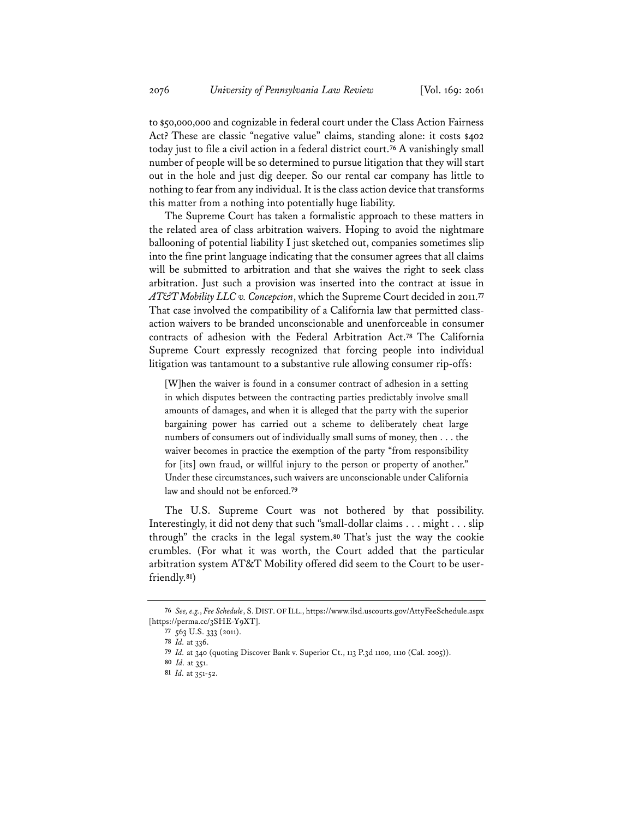to \$50,000,000 and cognizable in federal court under the Class Action Fairness Act? These are classic "negative value" claims, standing alone: it costs \$402 today just to file a civil action in a federal district court.**<sup>76</sup>** A vanishingly small number of people will be so determined to pursue litigation that they will start out in the hole and just dig deeper. So our rental car company has little to nothing to fear from any individual. It is the class action device that transforms this matter from a nothing into potentially huge liability.

The Supreme Court has taken a formalistic approach to these matters in the related area of class arbitration waivers. Hoping to avoid the nightmare ballooning of potential liability I just sketched out, companies sometimes slip into the fine print language indicating that the consumer agrees that all claims will be submitted to arbitration and that she waives the right to seek class arbitration. Just such a provision was inserted into the contract at issue in *AT&T Mobility LLC v. Concepcion*, which the Supreme Court decided in 2011.**<sup>77</sup>** That case involved the compatibility of a California law that permitted classaction waivers to be branded unconscionable and unenforceable in consumer contracts of adhesion with the Federal Arbitration Act.**<sup>78</sup>** The California Supreme Court expressly recognized that forcing people into individual litigation was tantamount to a substantive rule allowing consumer rip-offs:

[W]hen the waiver is found in a consumer contract of adhesion in a setting in which disputes between the contracting parties predictably involve small amounts of damages, and when it is alleged that the party with the superior bargaining power has carried out a scheme to deliberately cheat large numbers of consumers out of individually small sums of money, then . . . the waiver becomes in practice the exemption of the party "from responsibility for [its] own fraud, or willful injury to the person or property of another." Under these circumstances, such waivers are unconscionable under California law and should not be enforced.**<sup>79</sup>**

The U.S. Supreme Court was not bothered by that possibility. Interestingly, it did not deny that such "small-dollar claims . . . might . . . slip through" the cracks in the legal system.**<sup>80</sup>** That's just the way the cookie crumbles. (For what it was worth, the Court added that the particular arbitration system AT&T Mobility offered did seem to the Court to be userfriendly.**81**)

**<sup>76</sup>** *See, e.g.*, *Fee Schedule*, S. DIST. OF ILL., https://www.ilsd.uscourts.gov/AttyFeeSchedule.aspx [https://perma.cc/3SHE-Y9XT].

**<sup>77</sup>** 563 U.S. 333 (2011).

**<sup>78</sup>** *Id.* at 336.

**<sup>79</sup>** *Id.* at 340 (quoting Discover Bank v. Superior Ct., 113 P.3d 1100, 1110 (Cal. 2005)).

**<sup>80</sup>** *Id.* at 351.

**<sup>81</sup>** *Id.* at 351-52.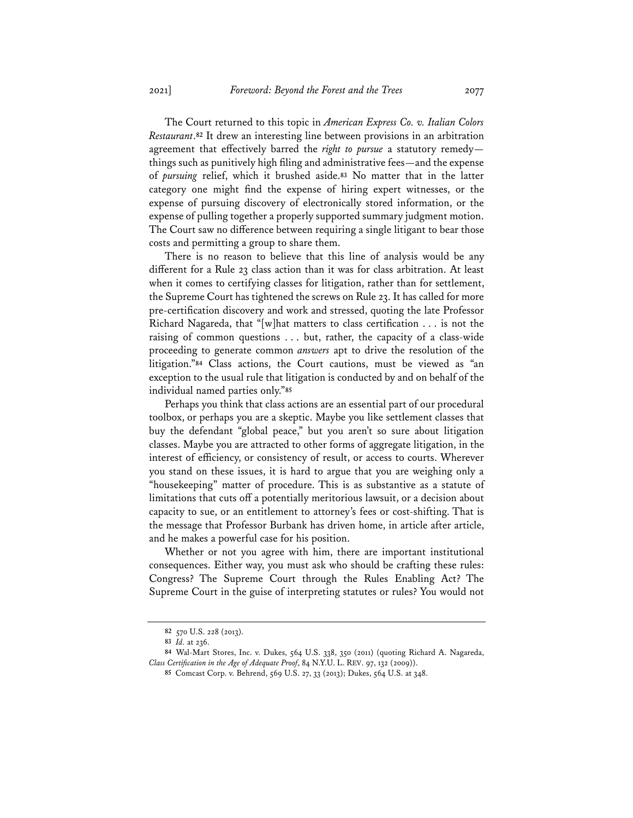The Court returned to this topic in *American Express Co. v. Italian Colors Restaurant*.**<sup>82</sup>** It drew an interesting line between provisions in an arbitration agreement that effectively barred the *right to pursue* a statutory remedy things such as punitively high filing and administrative fees—and the expense of *pursuing* relief, which it brushed aside.**<sup>83</sup>** No matter that in the latter category one might find the expense of hiring expert witnesses, or the expense of pursuing discovery of electronically stored information, or the expense of pulling together a properly supported summary judgment motion. The Court saw no difference between requiring a single litigant to bear those costs and permitting a group to share them.

There is no reason to believe that this line of analysis would be any different for a Rule 23 class action than it was for class arbitration. At least when it comes to certifying classes for litigation, rather than for settlement, the Supreme Court has tightened the screws on Rule 23. It has called for more pre-certification discovery and work and stressed, quoting the late Professor Richard Nagareda, that "[w]hat matters to class certification . . . is not the raising of common questions . . . but, rather, the capacity of a class-wide proceeding to generate common *answers* apt to drive the resolution of the litigation."**<sup>84</sup>** Class actions, the Court cautions, must be viewed as "an exception to the usual rule that litigation is conducted by and on behalf of the individual named parties only."**<sup>85</sup>**

Perhaps you think that class actions are an essential part of our procedural toolbox, or perhaps you are a skeptic. Maybe you like settlement classes that buy the defendant "global peace," but you aren't so sure about litigation classes. Maybe you are attracted to other forms of aggregate litigation, in the interest of efficiency, or consistency of result, or access to courts. Wherever you stand on these issues, it is hard to argue that you are weighing only a "housekeeping" matter of procedure. This is as substantive as a statute of limitations that cuts off a potentially meritorious lawsuit, or a decision about capacity to sue, or an entitlement to attorney's fees or cost-shifting. That is the message that Professor Burbank has driven home, in article after article, and he makes a powerful case for his position.

Whether or not you agree with him, there are important institutional consequences. Either way, you must ask who should be crafting these rules: Congress? The Supreme Court through the Rules Enabling Act? The Supreme Court in the guise of interpreting statutes or rules? You would not

**<sup>82</sup>** 570 U.S. 228 (2013).

**<sup>83</sup>** *Id.* at 236.

**<sup>84</sup>** Wal-Mart Stores, Inc. v. Dukes, 564 U.S. 338, 350 (2011) (quoting Richard A. Nagareda, *Class Certification in the Age of Adequate Proof*, 84 N.Y.U. L. REV. 97, 132 (2009)).

**<sup>85</sup>** Comcast Corp. v. Behrend, 569 U.S. 27, 33 (2013); Dukes, 564 U.S. at 348.